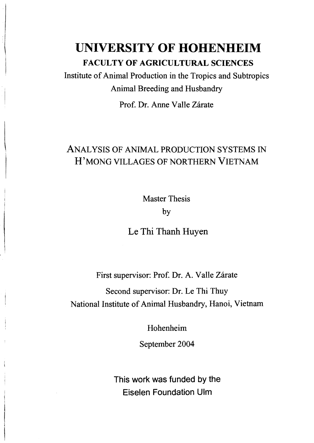## **UNIVERSITY OF HOHENHEIM** FACULTY OF AGRICULTURAL SCIENCES

Institute of Animal Production in the Tropics and Subtropics Animal Breeding and Husbandry

Prof. Dr. Anne Valle Zárate

## ANALYSIS OF ANIMAL PRODUCTION SYSTEMS IN H'MONG VILLAGES OF NORTHERN VIETNAM

Master Thesis

by

Le Thi Thanh Huyen

First supervisor: Prof. Dr. A. Valle Zárate

Second supervisor: Dr. Le Thi Thuy National Institute of Animal Husbandry, Hanoi, Vietnam

Hohenheim

September 2004

This work was funded by the Eiselen Foundation Ulm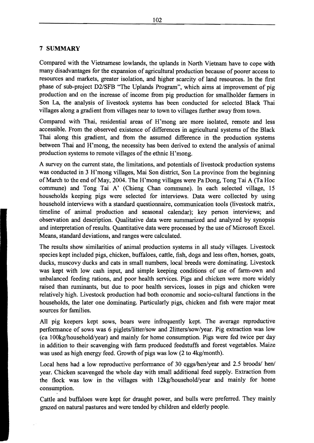Compared with the Vietnamese lowlands, the uplands in North Vietnam have to cope with many disadvantages for the expansion of agricultural production because of poorer access to resources and markets, greater isolation, and higher scarcity of land resources. In the first phase of sub-project *D2/SFB* "The Uplands Program", which aims at improvement of pig production and on the increase of income from pig production for smallholder farmers in Son La, the analysis of livestock systems has been conducted for selected Black Thai villages along a gradient from villages near to town to villages further away from town.

Compared with Thai, residential areas of H'mong are more isolated, remote and less accessible. From the observed existence of differences in agricultural systems of the Black Thai along this gradient, and from the assumed difference in the production systems between Thai and H'mong, the necessity has been derived to extend the analysis of animal production systems to remote villages of the ethnic H'mong.

A survey on the current state, the limitations, and potentials of livestock production systems was conducted in 3 H'mong villages, Mai Son district, Son La province from the beginning of March to the end of May, 2004. The H'mong villages were Pa Dong, Tong Tai A (Ta Hoc commune) and Tong Tai A' (Chieng Chan commune). In each selected village, 15 households keeping pigs were selected for interviews. Data were collected by using household interviews with a standard questionnaire, communication tools (livestock matrix, timeline of animal production and seasonal calendar); key person interviews; and observation and description. Qualitative data were summarized and analyzed by synopsis and interpretation ofresults. Quantitative data were processed by the use of Microsoft Excel. Means, standard deviations, and ranges were calculated.

The results show similarities of animal production systems in all study villages. Livestock species kept included pigs, chicken, buffaloes, cattle, fish, dogs and less often, horses, goats, ducks, muscovy ducks and cats in small numbers, local breeds were dominating. Livestock was kept with low cash input, and simple keeping conditions of use of farm-own and unbalanced feeding rations, and poor health services. Pigs and chicken were more widely raised than ruminants, but due to poor health services, losses in pigs and chicken were relatively high. Livestock production had both economic and socio-cultural functions in the households, the later one dominating. Particularly pigs, chicken and fish were major meat sources for families.

All pig keepers kept sows, boars were infrequently kept. The average reproductive performance of sows was 6 piglets/litter/sow and 2litters/sow/year. Pig extraction was low (ca 100kg/household/year) and mainly for home consumption. Pigs were fed twice per day in addition to their scavenging with farm produced feedstuffs and forest vegetables. Maize was used as high energy feed. Growth of pigs was low (2 to 4kg/month).

Local hens had a low reproductive performance of 30 eggs/hen/year and 2.5 *broods*/ hen/ year. Chicken scavenged the whole day with small additional feed supply. Extraction from the flock was low in the villages with 12kg/household/year and mainly for home consumption.

Cattle and buffaloes were kept for draught power, and bulls were preferred. They mainly grazed on natural pastures and were tended by children and elderly people.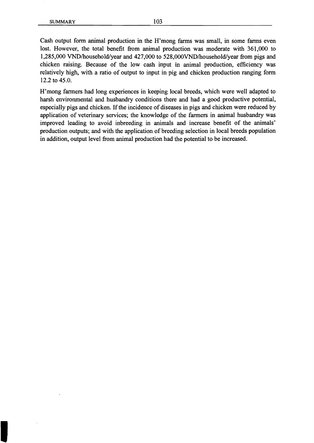Cash output form animal production in the H'mong farms was small, in some farms even lost. However, the total benefit from animal production was moderate with 361,000 to 1,285,000 VND/household/year and 427,000 to 528,000VND/household/year from pigs and chicken raising. Because of the low cash input in animal production, efficiency was relatively high, with a ratio of output to input in pig and chicken production ranging form 12.2 to 45.0.

H'mong farmers had long experiences in keeping local breeds, which were well adapted to harsh environmental and husbandry conditions there and had a good productive potential, especially pigs and chicken. If the incidence of diseases in pigs and chicken were reduced by application of veterinary services; the knowledge of the farmers in animal husbandry was improved leading to avoid inbreeding in animals and increase benefit of the animals' production outputs; and with the application of breeding selection in local breeds population in addition, output level from animal production had the potential to be increased.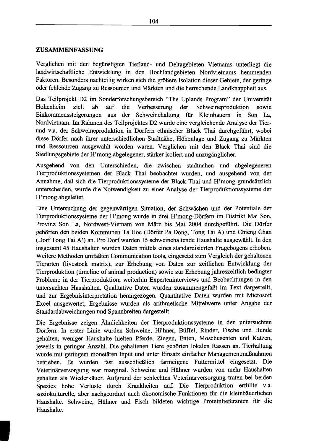## **ZUSAMMENFASSUNG**

Verglichen mit den begünstigten Tiefland- und Deltagebieten Vietnams unterliegt die landwirtschaftliche Entwicklung in den Hochlandgebieten Nordvietnams hemmenden Faktoren. Besonders nachteilig wirken sich die größere Isolation dieser Gebiete, der geringe oder fehlende Zugang zu Ressourcen und Märkten und die herrschende Landknappheit aus.

Das Teilprojekt D2 im Sonderforschungsbereich "The Uplands Program" der Universität Hohenheim zielt ab auf die Verbesserung der Schweineproduktion sowie Einkommenssteigerungen aus der Schweinehaltung fiir Kleinbauern in Son La, Nordvietnam. Im Rahmen des Teilprojektes D2 wurde eine vergleichende Analyse der Tierund v.a. der Schweineproduktion in Dörfern ethnischer Black Thai durchgefiihrt, wobei diese Dörfer nach ihrer unterschiedlichen Stadtnähe, Höhenlage und Zugang zu Märkten und Ressourcen ausgewählt worden waren. Verglichen mit den Black Thai sind die Siedlungsgebiete der H'mong abgelegener, stärker isoliert und unzugänglicher.

Ausgehend von den Unterschieden, die zwischen stadtnahen und abgelegeneren Tierproduktionssystemen der Black Thai beobachtet wurden, und ausgehend von der Annahme, daß sich die Tierproduktionssysteme der Black Thai und H'mong grundsätzlich unterscheiden, wurde die Notwendigkeit zu einer Analyse der Tierproduktionssysteme der H'mong abgeleitet.

Eine Untersuchung der gegenwärtigen Situation, der Schwächen und der Potentiale der Tierproduktionssysteme der H'mong wurde in drei H'mong-Dörfern im Distrikt Mai Son, Provinz Son La, Nordwest-Vietnam von März bis Mai 2004 durchgefiihrt. Die Dörfer gehörten den beiden Kommunen Ta Hoc (Dörfer Pa Dong, Tong Tai A) und Chieng Chan (Dorf Tong Tai A') an. Pro Dorfwurden 15 schweinehaltende Haushalte ausgewählt. In den insgesamt 45 Haushalten wurden Daten mittels eines standardisierten Fragebogens erhoben. Weitere Methoden umfaßten Communication tools, eingesetzt zum Vergleich der gehaltenen Tierarten (livestock matrix), zur Erhebung von Daten zur zeitlichen Entwicklung der Tierproduktion (timeline of animal production) sowie zur Erhebung jahreszeitlich bedingter Probleme in der Tierproduktion; weiterhin Experteninterviews und Beobachtungen in den untersuchten Haushalten. Qualitative Daten wurden zusammengefaßt im Text dargestellt, und zur Ergebnisinterpretation herangezogen. Quantitative Daten wurden mit Microsoft Excel ausgewertet, Ergebnisse wurden als arithmetische Mittelwerte unter Angabe der Standardabweichungen und Spannbreiten dargestellt.

Die Ergebnisse zeigen Ähnlichkeiten der Tierproduktionssysteme in den untersuchten Dörfern. In erster Linie wurden Schweine, Hühner, Büffel, Rinder, Fische und Hunde gehalten, weniger Haushalte hielten Pferde, Ziegen, Enten, Moschusenten und Katzen, jeweils in geringer Anzahl. Die gehaltenen Tiere gehörten lokalen Rassen an. Tierhaltung wurde mit geringem monetären Input und unter Einsatz einfacher Managementmaßnahmen betrieben. Es wurden fast ausschließlich farmeigene Futtermittel eingesetzt. Die Veterinärversorgung war marginal. Schweine und Hühner wurden von mehr Haushalten gehalten als Wiederkäuer. Aufgrund der schlechten Veterinärversorgung traten bei beiden Spezies hohe Verluste durch Krankheiten auf. Die Tierproduktion erfüllte v.a. soziokulturelle, aber nachgeordnet auch ökonomische Funktionen fiir die kleinbäuerlichen Haushalte. Schweine, Hühner und Fisch bildeten wichtige Proteinlieferanten fiir die Haushalte.